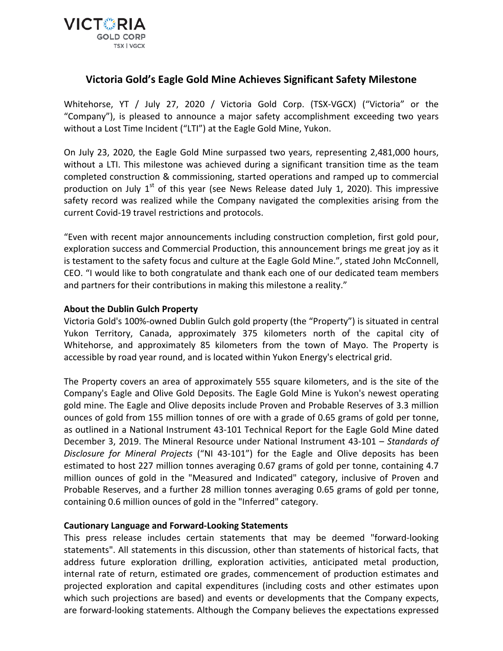

## **Victoria Gold's Eagle Gold Mine Achieves Significant Safety Milestone**

Whitehorse, YT / July 27, 2020 / Victoria Gold Corp. (TSX-VGCX) ("Victoria" or the "Company"), is pleased to announce a major safety accomplishment exceeding two years without a Lost Time Incident ("LTI") at the Eagle Gold Mine, Yukon.

On July 23, 2020, the Eagle Gold Mine surpassed two years, representing 2,481,000 hours, without a LTI. This milestone was achieved during a significant transition time as the team completed construction & commissioning, started operations and ramped up to commercial production on July  $1<sup>st</sup>$  of this year (see News Release dated July 1, 2020). This impressive safety record was realized while the Company navigated the complexities arising from the current Covid-19 travel restrictions and protocols.

"Even with recent major announcements including construction completion, first gold pour, exploration success and Commercial Production, this announcement brings me great joy as it is testament to the safety focus and culture at the Eagle Gold Mine.", stated John McConnell, CEO. "I would like to both congratulate and thank each one of our dedicated team members and partners for their contributions in making this milestone a reality."

## **About the Dublin Gulch Property**

Victoria Gold's 100%-owned Dublin Gulch gold property (the "Property") is situated in central Yukon Territory, Canada, approximately 375 kilometers north of the capital city of Whitehorse, and approximately 85 kilometers from the town of Mayo. The Property is accessible by road year round, and is located within Yukon Energy's electrical grid.

The Property covers an area of approximately 555 square kilometers, and is the site of the Company's Eagle and Olive Gold Deposits. The Eagle Gold Mine is Yukon's newest operating gold mine. The Eagle and Olive deposits include Proven and Probable Reserves of 3.3 million ounces of gold from 155 million tonnes of ore with a grade of 0.65 grams of gold per tonne, as outlined in a National Instrument 43-101 Technical Report for the Eagle Gold Mine dated December 3, 2019. The Mineral Resource under National Instrument 43-101 – *Standards of Disclosure for Mineral Projects* ("NI 43-101") for the Eagle and Olive deposits has been estimated to host 227 million tonnes averaging 0.67 grams of gold per tonne, containing 4.7 million ounces of gold in the "Measured and Indicated" category, inclusive of Proven and Probable Reserves, and a further 28 million tonnes averaging 0.65 grams of gold per tonne, containing 0.6 million ounces of gold in the "Inferred" category.

## **Cautionary Language and Forward-Looking Statements**

This press release includes certain statements that may be deemed "forward-looking statements". All statements in this discussion, other than statements of historical facts, that address future exploration drilling, exploration activities, anticipated metal production, internal rate of return, estimated ore grades, commencement of production estimates and projected exploration and capital expenditures (including costs and other estimates upon which such projections are based) and events or developments that the Company expects, are forward-looking statements. Although the Company believes the expectations expressed